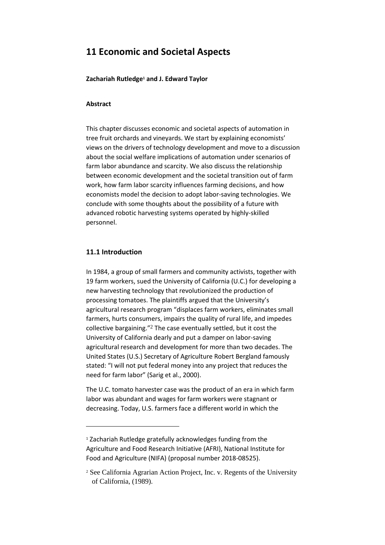# **11 Economic and Societal Aspects**

**Zachariah Rutledge<sup>1</sup> and J. Edward Taylor**

### **Abstract**

This chapter discusses economic and societal aspects of automation in tree fruit orchards and vineyards. We start by explaining economists' views on the drivers of technology development and move to a discussion about the social welfare implications of automation under scenarios of farm labor abundance and scarcity. We also discuss the relationship between economic development and the societal transition out of farm work, how farm labor scarcity influences farming decisions, and how economists model the decision to adopt labor-saving technologies. We conclude with some thoughts about the possibility of a future with advanced robotic harvesting systems operated by highly-skilled personnel.

## **11.1 Introduction**

**.** 

In 1984, a group of small farmers and community activists, together with 19 farm workers, sued the University of California (U.C.) for developing a new harvesting technology that revolutionized the production of processing tomatoes. The plaintiffs argued that the University's agricultural research program "displaces farm workers, eliminates small farmers, hurts consumers, impairs the quality of rural life, and impedes collective bargaining."<sup>2</sup> The case eventually settled, but it cost the University of California dearly and put a damper on labor-saving agricultural research and development for more than two decades. The United States (U.S.) Secretary of Agriculture Robert Bergland famously stated: "I will not put federal money into any project that reduces the need for farm labor" (Sarig et al., 2000).

The U.C. tomato harvester case was the product of an era in which farm labor was abundant and wages for farm workers were stagnant or decreasing. Today, U.S. farmers face a different world in which the

<sup>1</sup> Zachariah Rutledge gratefully acknowledges funding from the Agriculture and Food Research Initiative (AFRI), National Institute for Food and Agriculture (NIFA) (proposal number 2018-08525).

<sup>2</sup> See California Agrarian Action Project, Inc. v. Regents of the University of California, (1989).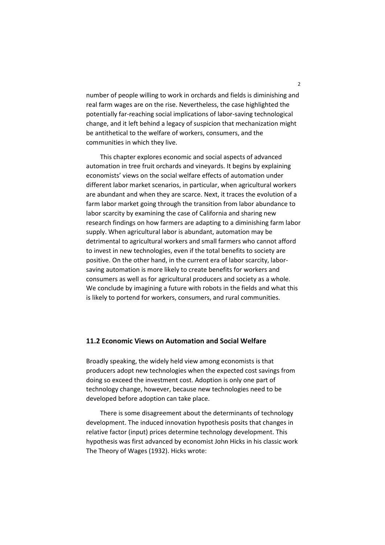number of people willing to work in orchards and fields is diminishing and real farm wages are on the rise. Nevertheless, the case highlighted the potentially far-reaching social implications of labor-saving technological change, and it left behind a legacy of suspicion that mechanization might be antithetical to the welfare of workers, consumers, and the communities in which they live.

This chapter explores economic and social aspects of advanced automation in tree fruit orchards and vineyards. It begins by explaining economists' views on the social welfare effects of automation under different labor market scenarios, in particular, when agricultural workers are abundant and when they are scarce. Next, it traces the evolution of a farm labor market going through the transition from labor abundance to labor scarcity by examining the case of California and sharing new research findings on how farmers are adapting to a diminishing farm labor supply. When agricultural labor is abundant, automation may be detrimental to agricultural workers and small farmers who cannot afford to invest in new technologies, even if the total benefits to society are positive. On the other hand, in the current era of labor scarcity, laborsaving automation is more likely to create benefits for workers and consumers as well as for agricultural producers and society as a whole. We conclude by imagining a future with robots in the fields and what this is likely to portend for workers, consumers, and rural communities.

#### **11.2 Economic Views on Automation and Social Welfare**

Broadly speaking, the widely held view among economists is that producers adopt new technologies when the expected cost savings from doing so exceed the investment cost. Adoption is only one part of technology change, however, because new technologies need to be developed before adoption can take place.

There is some disagreement about the determinants of technology development. The induced innovation hypothesis posits that changes in relative factor (input) prices determine technology development. This hypothesis was first advanced by economist John Hicks in his classic work The Theory of Wages (1932). Hicks wrote: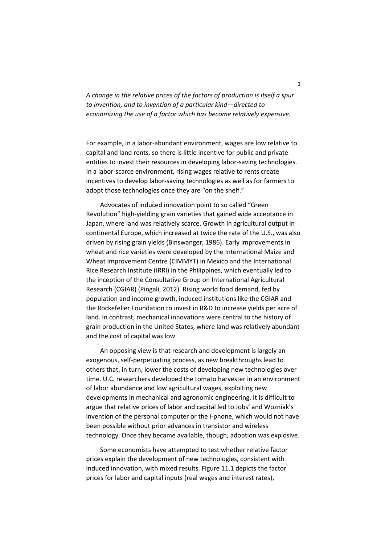*A change in the relative prices of the factors of production is itself a spur to [invention,](https://en.wikipedia.org/wiki/Invention) and to invention of a particular kind—directed to economizing the use of a factor which has become relatively expensive.*

For example, in a labor-abundant environment, wages are low relative to capital and land rents, so there is little incentive for public and private entities to invest their resources in developing labor-saving technologies. In a labor-scarce environment, rising wages relative to rents create incentives to develop labor-saving technologies as well as for farmers to adopt those technologies once they are "on the shelf."

Advocates of induced innovation point to so called "Green Revolution" high-yielding grain varieties that gained wide acceptance in Japan, where land was relatively scarce. Growth in agricultural output in continental Europe, which increased at twice the rate of the U.S., was also driven by rising grain yields (Binswanger, 1986). Early improvements in wheat and rice varieties were developed by the International Maize and Wheat Improvement Centre (CIMMYT) in Mexico and the International Rice Research Institute (IRRI) in the Philippines, which eventually led to the inception of the Consultative Group on International Agricultural Research (CGIAR) (Pingali, 2012). Rising world food demand, fed by population and income growth, induced institutions like the CGIAR and the Rockefeller Foundation to invest in R&D to increase yields per acre of land. In contrast, mechanical innovations were central to the history of grain production in the United States, where land was relatively abundant and the cost of capital was low.

An opposing view is that research and development is largely an exogenous, self-perpetuating process, as new breakthroughs lead to others that, in turn, lower the costs of developing new technologies over time. U.C. researchers developed the tomato harvester in an environment of labor abundance and low agricultural wages, exploiting new developments in mechanical and agronomic engineering. It is difficult to argue that relative prices of labor and capital led to Jobs' and Wozniak's invention of the personal computer or the i-phone, which would not have been possible without prior advances in transistor and wireless technology. Once they became available, though, adoption was explosive.

Some economists have attempted to test whether relative factor prices explain the development of new technologies, consistent with induced innovation, with mixed results. Figure 11.1 depicts the factor prices for labor and capital inputs (real wages and interest rates),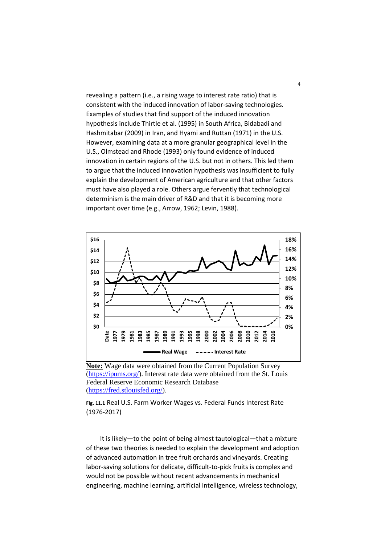revealing a pattern (i.e., a rising wage to interest rate ratio) that is consistent with the induced innovation of labor-saving technologies. Examples of studies that find support of the induced innovation hypothesis include Thirtle et al. (1995) in South Africa, Bidabadi and Hashmitabar (2009) in Iran, and Hyami and Ruttan (1971) in the U.S. However, examining data at a more granular geographical level in the U.S., Olmstead and Rhode (1993) only found evidence of induced innovation in certain regions of the U.S. but not in others. This led them to argue that the induced innovation hypothesis was insufficient to fully explain the development of American agriculture and that other factors must have also played a role. Others argue fervently that technological determinism is the main driver of R&D and that it is becoming more important over time (e.g., Arrow, 1962; Levin, 1988).



**Note:** Wage data were obtained from the Current Population Survey [\(https://ipums.org/\)](https://ipums.org/). Interest rate data were obtained from the St. Louis Federal Reserve Economic Research Database [\(https://fred.stlouisfed.org/\)](https://fred.stlouisfed.org/).

**Fig. 11.1** Real U.S. Farm Worker Wages vs. Federal Funds Interest Rate (1976-2017)

It is likely—to the point of being almost tautological—that a mixture of these two theories is needed to explain the development and adoption of advanced automation in tree fruit orchards and vineyards. Creating labor-saving solutions for delicate, difficult-to-pick fruits is complex and would not be possible without recent advancements in mechanical engineering, machine learning, artificial intelligence, wireless technology,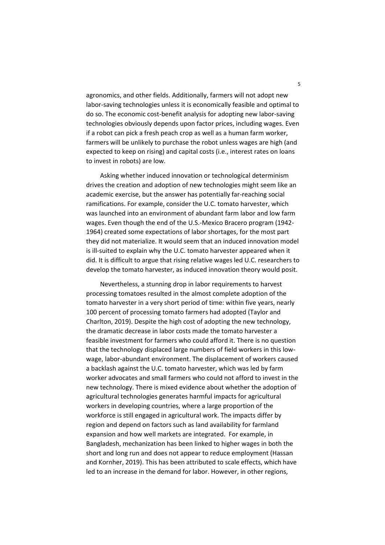agronomics, and other fields. Additionally, farmers will not adopt new labor-saving technologies unless it is economically feasible and optimal to do so. The economic cost-benefit analysis for adopting new labor-saving technologies obviously depends upon factor prices, including wages. Even if a robot can pick a fresh peach crop as well as a human farm worker, farmers will be unlikely to purchase the robot unless wages are high (and expected to keep on rising) and capital costs (i.e., interest rates on loans to invest in robots) are low.

Asking whether induced innovation or technological determinism drives the creation and adoption of new technologies might seem like an academic exercise, but the answer has potentially far-reaching social ramifications. For example, consider the U.C. tomato harvester, which was launched into an environment of abundant farm labor and low farm wages. Even though the end of the U.S.-Mexico Bracero program (1942- 1964) created some expectations of labor shortages, for the most part they did not materialize. It would seem that an induced innovation model is ill-suited to explain why the U.C. tomato harvester appeared when it did. It is difficult to argue that rising relative wages led U.C. researchers to develop the tomato harvester, as induced innovation theory would posit.

Nevertheless, a stunning drop in labor requirements to harvest processing tomatoes resulted in the almost complete adoption of the tomato harvester in a very short period of time: within five years, nearly 100 percent of processing tomato farmers had adopted (Taylor and Charlton, 2019). Despite the high cost of adopting the new technology, the dramatic decrease in labor costs made the tomato harvester a feasible investment for farmers who could afford it. There is no question that the technology displaced large numbers of field workers in this lowwage, labor-abundant environment. The displacement of workers caused a backlash against the U.C. tomato harvester, which was led by farm worker advocates and small farmers who could not afford to invest in the new technology. There is mixed evidence about whether the adoption of agricultural technologies generates harmful impacts for agricultural workers in developing countries, where a large proportion of the workforce is still engaged in agricultural work. The impacts differ by region and depend on factors such as land availability for farmland expansion and how well markets are integrated. For example, in Bangladesh, mechanization has been linked to higher wages in both the short and long run and does not appear to reduce employment (Hassan and Kornher, 2019). This has been attributed to scale effects, which have led to an increase in the demand for labor. However, in other regions,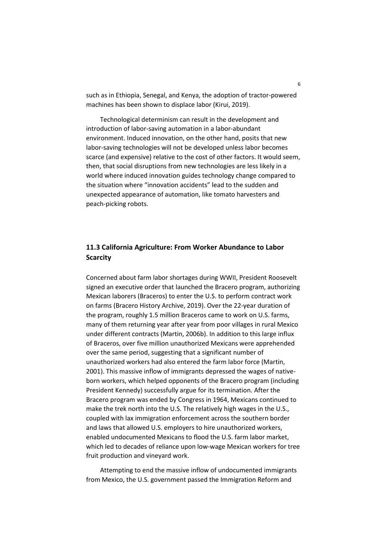such as in Ethiopia, Senegal, and Kenya, the adoption of tractor-powered machines has been shown to displace labor (Kirui, 2019).

Technological determinism can result in the development and introduction of labor-saving automation in a labor-abundant environment. Induced innovation, on the other hand, posits that new labor-saving technologies will not be developed unless labor becomes scarce (and expensive) relative to the cost of other factors. It would seem, then, that social disruptions from new technologies are less likely in a world where induced innovation guides technology change compared to the situation where "innovation accidents" lead to the sudden and unexpected appearance of automation, like tomato harvesters and peach-picking robots.

# **11.3 California Agriculture: From Worker Abundance to Labor Scarcity**

Concerned about farm labor shortages during WWII, President Roosevelt signed an executive order that launched the Bracero program, authorizing Mexican laborers (Braceros) to enter the U.S. to perform contract work on farms (Bracero History Archive, 2019). Over the 22-year duration of the program, roughly 1.5 million Braceros came to work on U.S. farms, many of them returning year after year from poor villages in rural Mexico under different contracts (Martin, 2006b). In addition to this large influx of Braceros, over five million unauthorized Mexicans were apprehended over the same period, suggesting that a significant number of unauthorized workers had also entered the farm labor force (Martin, 2001). This massive inflow of immigrants depressed the wages of nativeborn workers, which helped opponents of the Bracero program (including President Kennedy) successfully argue for its termination. After the Bracero program was ended by Congress in 1964, Mexicans continued to make the trek north into the U.S. The relatively high wages in the U.S., coupled with lax immigration enforcement across the southern border and laws that allowed U.S. employers to hire unauthorized workers, enabled undocumented Mexicans to flood the U.S. farm labor market, which led to decades of reliance upon low-wage Mexican workers for tree fruit production and vineyard work.

Attempting to end the massive inflow of undocumented immigrants from Mexico, the U.S. government passed the Immigration Reform and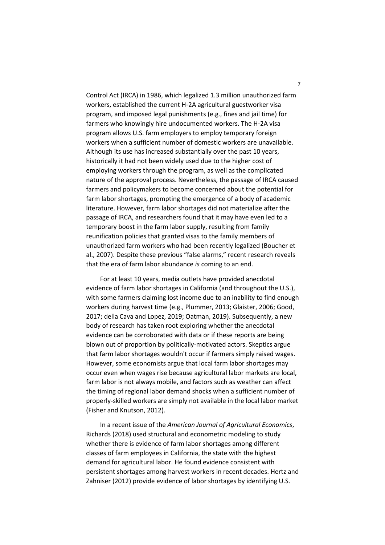Control Act (IRCA) in 1986, which legalized 1.3 million unauthorized farm workers, established the current H-2A agricultural guestworker visa program, and imposed legal punishments (e.g., fines and jail time) for farmers who knowingly hire undocumented workers. The H-2A visa program allows U.S. farm employers to employ temporary foreign workers when a sufficient number of domestic workers are unavailable. Although its use has increased substantially over the past 10 years, historically it had not been widely used due to the higher cost of employing workers through the program, as well as the complicated nature of the approval process. Nevertheless, the passage of IRCA caused farmers and policymakers to become concerned about the potential for farm labor shortages, prompting the emergence of a body of academic literature. However, farm labor shortages did not materialize after the passage of IRCA, and researchers found that it may have even led to a temporary boost in the farm labor supply, resulting from family reunification policies that granted visas to the family members of unauthorized farm workers who had been recently legalized (Boucher et al., 2007). Despite these previous "false alarms," recent research reveals that the era of farm labor abundance *is* coming to an end.

For at least 10 years, media outlets have provided anecdotal evidence of farm labor shortages in California (and throughout the U.S.), with some farmers claiming lost income due to an inability to find enough workers during harvest time (e.g., Plummer, 2013; Glaister, 2006; Good, 2017; della Cava and Lopez, 2019; Oatman, 2019). Subsequently, a new body of research has taken root exploring whether the anecdotal evidence can be corroborated with data or if these reports are being blown out of proportion by politically-motivated actors. Skeptics argue that farm labor shortages wouldn't occur if farmers simply raised wages. However, some economists argue that local farm labor shortages may occur even when wages rise because agricultural labor markets are local, farm labor is not always mobile, and factors such as weather can affect the timing of regional labor demand shocks when a sufficient number of properly-skilled workers are simply not available in the local labor market (Fisher and Knutson, 2012).

In a recent issue of the *American Journal of Agricultural Economics*, Richards (2018) used structural and econometric modeling to study whether there is evidence of farm labor shortages among different classes of farm employees in California, the state with the highest demand for agricultural labor. He found evidence consistent with persistent shortages among harvest workers in recent decades. Hertz and Zahniser (2012) provide evidence of labor shortages by identifying U.S.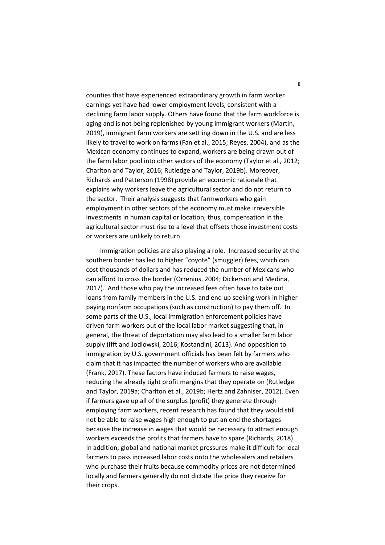counties that have experienced extraordinary growth in farm worker earnings yet have had lower employment levels, consistent with a declining farm labor supply. Others have found that the farm workforce is aging and is not being replenished by young immigrant workers (Martin, 2019), immigrant farm workers are settling down in the U.S. and are less likely to travel to work on farms (Fan et al., 2015; Reyes, 2004), and as the Mexican economy continues to expand, workers are being drawn out of the farm labor pool into other sectors of the economy (Taylor et al., 2012; Charlton and Taylor, 2016; Rutledge and Taylor, 2019b). Moreover, Richards and Patterson (1998) provide an economic rationale that explains why workers leave the agricultural sector and do not return to the sector. Their analysis suggests that farmworkers who gain employment in other sectors of the economy must make irreversible investments in human capital or location; thus, compensation in the agricultural sector must rise to a level that offsets those investment costs or workers are unlikely to return.

Immigration policies are also playing a role. Increased security at the southern border has led to higher "coyote" (smuggler) fees, which can cost thousands of dollars and has reduced the number of Mexicans who can afford to cross the border (Orrenius, 2004; Dickerson and Medina, 2017). And those who pay the increased fees often have to take out loans from family members in the U.S. and end up seeking work in higher paying nonfarm occupations (such as construction) to pay them off. In some parts of the U.S., local immigration enforcement policies have driven farm workers out of the local labor market suggesting that, in general, the threat of deportation may also lead to a smaller farm labor supply (Ifft and Jodlowski, 2016; Kostandini, 2013). And opposition to immigration by U.S. government officials has been felt by farmers who claim that it has impacted the number of workers who are available (Frank, 2017). These factors have induced farmers to raise wages, reducing the already tight profit margins that they operate on (Rutledge and Taylor, 2019a; Charlton et al., 2019b; Hertz and Zahniser, 2012). Even if farmers gave up all of the surplus (profit) they generate through employing farm workers, recent research has found that they would still not be able to raise wages high enough to put an end the shortages because the increase in wages that would be necessary to attract enough workers exceeds the profits that farmers have to spare (Richards, 2018). In addition, global and national market pressures make it difficult for local farmers to pass increased labor costs onto the wholesalers and retailers who purchase their fruits because commodity prices are not determined locally and farmers generally do not dictate the price they receive for their crops.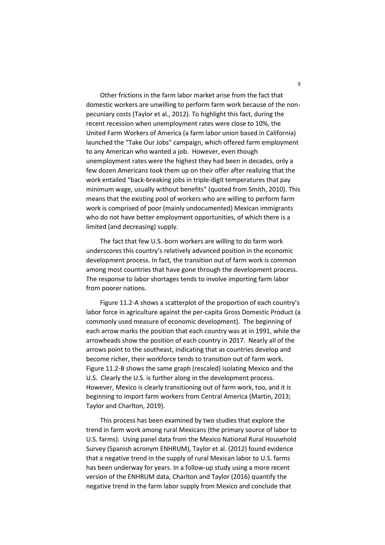Other frictions in the farm labor market arise from the fact that domestic workers are unwilling to perform farm work because of the nonpecuniary costs (Taylor et al., 2012). To highlight this fact, during the recent recession when unemployment rates were close to 10%, the United Farm Workers of America (a farm labor union based in California) launched the "Take Our Jobs" campaign, which offered farm employment to any American who wanted a job. However, even though unemployment rates were the highest they had been in decades, only a few dozen Americans took them up on their offer after realizing that the work entailed "back-breaking jobs in triple-digit temperatures that pay minimum wage, usually without benefits" (quoted from Smith, 2010). This means that the existing pool of workers who are willing to perform farm work is comprised of poor (mainly undocumented) Mexican immigrants who do not have better employment opportunities, of which there is a limited (and decreasing) supply.

The fact that few U.S.-born workers are willing to do farm work underscores this country's relatively advanced position in the economic development process. In fact, the transition out of farm work is common among most countries that have gone through the development process. The response to labor shortages tends to involve importing farm labor from poorer nations.

Figure 11.2-A shows a scatterplot of the proportion of each country's labor force in agriculture against the per-capita Gross Domestic Product (a commonly used measure of economic development). The beginning of each arrow marks the position that each country was at in 1991, while the arrowheads show the position of each country in 2017. Nearly all of the arrows point to the southeast, indicating that as countries develop and become richer, their workforce tends to transition out of farm work. Figure 11.2-B shows the same graph (rescaled) isolating Mexico and the U.S. Clearly the U.S. is further along in the development process. However, Mexico is clearly transitioning out of farm work, too, and it is beginning to import farm workers from Central America (Martin, 2013; Taylor and Charlton, 2019).

This process has been examined by two studies that explore the trend in farm work among rural Mexicans (the primary source of labor to U.S. farms). Using panel data from the Mexico National Rural Household Survey (Spanish acronym ENHRUM), Taylor et al. (2012) found evidence that a negative trend in the supply of rural Mexican labor to U.S. farms has been underway for years. In a follow-up study using a more recent version of the ENHRUM data, Charlton and Taylor (2016) quantify the negative trend in the farm labor supply from Mexico and conclude that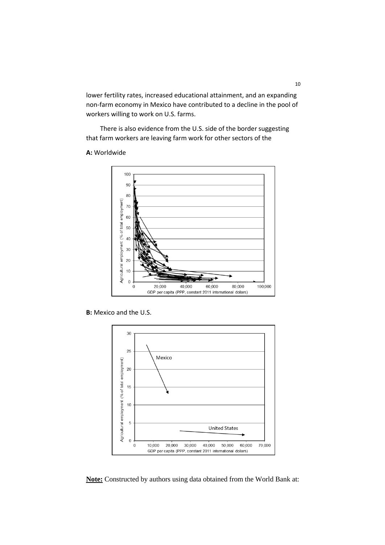lower fertility rates, increased educational attainment, and an expanding non-farm economy in Mexico have contributed to a decline in the pool of workers willing to work on U.S. farms.

There is also evidence from the U.S. side of the border suggesting that farm workers are leaving farm work for other sectors of the

#### **A:** Worldwide



**B:** Mexico and the U.S.



**Note:** Constructed by authors using data obtained from the World Bank at: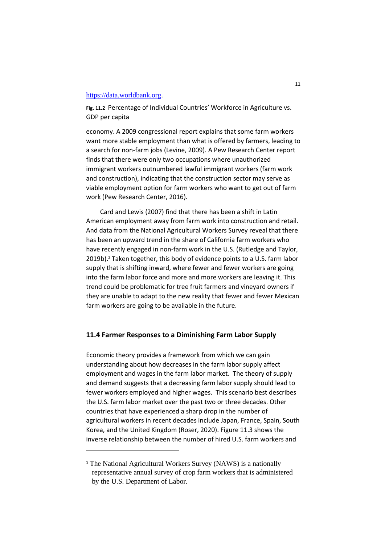#### [https://data.worldbank.org.](https://data.worldbank.org/)

**Fig. 11.2** Percentage of Individual Countries' Workforce in Agriculture vs. GDP per capita

economy. A 2009 congressional report explains that some farm workers want more stable employment than what is offered by farmers, leading to a search for non-farm jobs (Levine, 2009). A Pew Research Center report finds that there were only two occupations where unauthorized immigrant workers outnumbered lawful immigrant workers (farm work and construction), indicating that the construction sector may serve as viable employment option for farm workers who want to get out of farm work (Pew Research Center, 2016).

Card and Lewis (2007) find that there has been a shift in Latin American employment away from farm work into construction and retail. And data from the National Agricultural Workers Survey reveal that there has been an upward trend in the share of California farm workers who have recently engaged in non-farm work in the U.S. (Rutledge and Taylor,  $2019b$ ).<sup>3</sup> Taken together, this body of evidence points to a U.S. farm labor supply that is shifting inward, where fewer and fewer workers are going into the farm labor force and more and more workers are leaving it. This trend could be problematic for tree fruit farmers and vineyard owners if they are unable to adapt to the new reality that fewer and fewer Mexican farm workers are going to be available in the future.

#### **11.4 Farmer Responses to a Diminishing Farm Labor Supply**

Economic theory provides a framework from which we can gain understanding about how decreases in the farm labor supply affect employment and wages in the farm labor market. The theory of supply and demand suggests that a decreasing farm labor supply should lead to fewer workers employed and higher wages. This scenario best describes the U.S. farm labor market over the past two or three decades. Other countries that have experienced a sharp drop in the number of agricultural workers in recent decades include Japan, France, Spain, South Korea, and the United Kingdom (Roser, 2020). Figure 11.3 shows the inverse relationship between the number of hired U.S. farm workers and

 $\overline{a}$ 

<sup>&</sup>lt;sup>3</sup> The National Agricultural Workers Survey (NAWS) is a nationally representative annual survey of crop farm workers that is administered by the U.S. Department of Labor.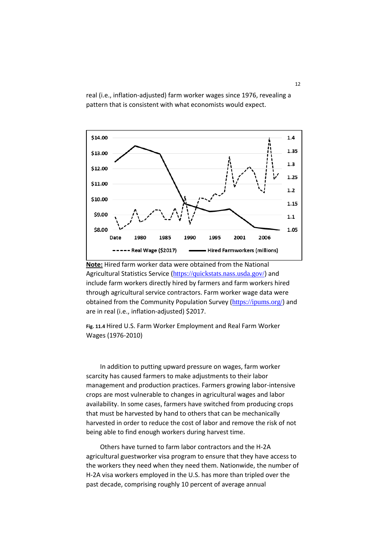real (i.e., inflation-adjusted) farm worker wages since 1976, revealing a pattern that is consistent with what economists would expect.





**Fig. 11.4** Hired U.S. Farm Worker Employment and Real Farm Worker Wages (1976-2010)

In addition to putting upward pressure on wages, farm worker scarcity has caused farmers to make adjustments to their labor management and production practices. Farmers growing labor-intensive crops are most vulnerable to changes in agricultural wages and labor availability. In some cases, farmers have switched from producing crops that must be harvested by hand to others that can be mechanically harvested in order to reduce the cost of labor and remove the risk of not being able to find enough workers during harvest time.

Others have turned to farm labor contractors and the H-2A agricultural guestworker visa program to ensure that they have access to the workers they need when they need them. Nationwide, the number of H-2A visa workers employed in the U.S. has more than tripled over the past decade, comprising roughly 10 percent of average annual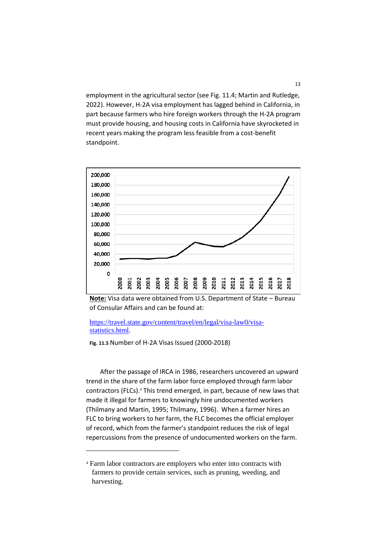employment in the agricultural sector (see Fig. 11.4; Martin and Rutledge, 2022). However, H-2A visa employment has lagged behind in California, in part because farmers who hire foreign workers through the H-2A program must provide housing, and housing costs in California have skyrocketed in recent years making the program less feasible from a cost-benefit standpoint.



**Note:** Visa data were obtained from U.S. Department of State – Bureau of Consular Affairs and can be found at:

[https://travel.state.gov/content/travel/en/legal/visa-law0/visa](https://travel.state.gov/content/travel/en/legal/visa-law0/visa-statistics.html)[statistics.html.](https://travel.state.gov/content/travel/en/legal/visa-law0/visa-statistics.html)

**Fig. 11.5** Number of H-2A Visas Issued (2000-2018)

 $\overline{a}$ 

After the passage of IRCA in 1986, researchers uncovered an upward trend in the share of the farm labor force employed through farm labor contractors (FLCs).<sup>4</sup> This trend emerged, in part, because of new laws that made it illegal for farmers to knowingly hire undocumented workers (Thilmany and Martin, 1995; Thilmany, 1996). When a farmer hires an FLC to bring workers to her farm, the FLC becomes the official employer of record, which from the farmer's standpoint reduces the risk of legal repercussions from the presence of undocumented workers on the farm.

<sup>4</sup> Farm labor contractors are employers who enter into contracts with farmers to provide certain services, such as pruning, weeding, and harvesting.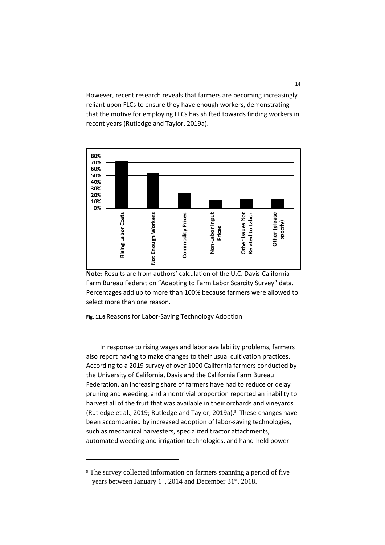However, recent research reveals that farmers are becoming increasingly reliant upon FLCs to ensure they have enough workers, demonstrating that the motive for employing FLCs has shifted towards finding workers in recent years (Rutledge and Taylor, 2019a).





**Fig. 11.6** Reasons for Labor-Saving Technology Adoption

In response to rising wages and labor availability problems, farmers also report having to make changes to their usual cultivation practices. According to a 2019 survey of over 1000 California farmers conducted by the University of California, Davis and the California Farm Bureau Federation, an increasing share of farmers have had to reduce or delay pruning and weeding, and a nontrivial proportion reported an inability to harvest all of the fruit that was available in their orchards and vineyards (Rutledge et al., 2019; Rutledge and Taylor, 2019a).<sup>5</sup> These changes have been accompanied by increased adoption of labor-saving technologies, such as mechanical harvesters, specialized tractor attachments, automated weeding and irrigation technologies, and hand-held power

**.** 

<sup>&</sup>lt;sup>5</sup> The survey collected information on farmers spanning a period of five years between January  $1<sup>st</sup>$ , 2014 and December 31 $<sup>st</sup>$ , 2018.</sup>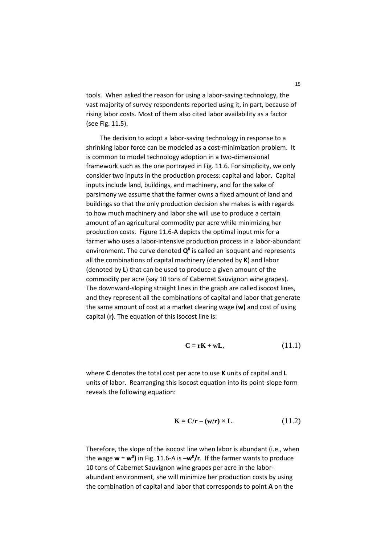tools. When asked the reason for using a labor-saving technology, the vast majority of survey respondents reported using it, in part, because of rising labor costs. Most of them also cited labor availability as a factor (see Fig. 11.5).

The decision to adopt a labor-saving technology in response to a shrinking labor force can be modeled as a cost-minimization problem. It is common to model technology adoption in a two-dimensional framework such as the one portrayed in Fig. 11.6. For simplicity, we only consider two inputs in the production process: capital and labor. Capital inputs include land, buildings, and machinery, and for the sake of parsimony we assume that the farmer owns a fixed amount of land and buildings so that the only production decision she makes is with regards to how much machinery and labor she will use to produce a certain amount of an agricultural commodity per acre while minimizing her production costs. Figure 11.6-A depicts the optimal input mix for a farmer who uses a labor-intensive production process in a labor-abundant environment. The curve denoted **Q 0** is called an isoquant and represents all the combinations of capital machinery (denoted by **K**) and labor (denoted by **L**) that can be used to produce a given amount of the commodity per acre (say 10 tons of Cabernet Sauvignon wine grapes). The downward-sloping straight lines in the graph are called isocost lines, and they represent all the combinations of capital and labor that generate the same amount of cost at a market clearing wage (**w)** and cost of using capital (**r)**. The equation of this isocost line is:

$$
C = rK + wL, \qquad (11.1)
$$

where **C** denotes the total cost per acre to use **K** units of capital and **L** units of labor. Rearranging this isocost equation into its point-slope form reveals the following equation:

$$
\mathbf{K} = \mathbf{C}/\mathbf{r} - (\mathbf{w}/\mathbf{r}) \times \mathbf{L}.\tag{11.2}
$$

Therefore, the slope of the isocost line when labor is abundant (i.e., when the wage **w** = **w<sup>0</sup> )** in Fig. 11.6-A is **–w<sup>0</sup> /r**. If the farmer wants to produce 10 tons of Cabernet Sauvignon wine grapes per acre in the laborabundant environment, she will minimize her production costs by using the combination of capital and labor that corresponds to point **A** on the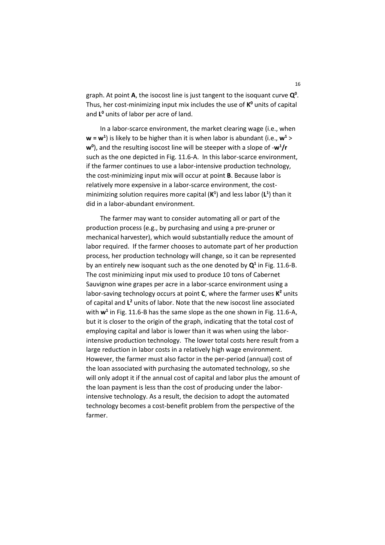graph. At point **A**, the isocost line is just tangent to the isoquant curve **Q 0** . Thus, her cost-minimizing input mix includes the use of **K <sup>0</sup>** units of capital and **L <sup>0</sup>** units of labor per acre of land.

In a labor-scarce environment, the market clearing wage (i.e., when **w = w<sup>1</sup>** ) is likely to be higher than it is when labor is abundant (i.e., **w<sup>1</sup>** > **w0** ), and the resulting isocost line will be steeper with a slope of -**w<sup>1</sup> /r** such as the one depicted in Fig. 11.6-A. In this labor-scarce environment, if the farmer continues to use a labor-intensive production technology, the cost-minimizing input mix will occur at point **B**. Because labor is relatively more expensive in a labor-scarce environment, the costminimizing solution requires more capital (**K 1** ) and less labor (**L 1** ) than it did in a labor-abundant environment.

The farmer may want to consider automating all or part of the production process (e.g., by purchasing and using a pre-pruner or mechanical harvester), which would substantially reduce the amount of labor required. If the farmer chooses to automate part of her production process, her production technology will change, so it can be represented by an entirely new isoquant such as the one denoted by  $Q<sup>1</sup>$  in Fig. 11.6-B. The cost minimizing input mix used to produce 10 tons of Cabernet Sauvignon wine grapes per acre in a labor-scarce environment using a labor-saving technology occurs at point **C**, where the farmer uses **K <sup>2</sup>** units of capital and **L <sup>2</sup>** units of labor. Note that the new isocost line associated with **w<sup>1</sup>** in Fig. 11.6-B has the same slope as the one shown in Fig. 11.6-A, but it is closer to the origin of the graph, indicating that the total cost of employing capital and labor is lower than it was when using the laborintensive production technology. The lower total costs here result from a large reduction in labor costs in a relatively high wage environment. However, the farmer must also factor in the per-period (annual) cost of the loan associated with purchasing the automated technology, so she will only adopt it if the annual cost of capital and labor plus the amount of the loan payment is less than the cost of producing under the laborintensive technology. As a result, the decision to adopt the automated technology becomes a cost-benefit problem from the perspective of the farmer.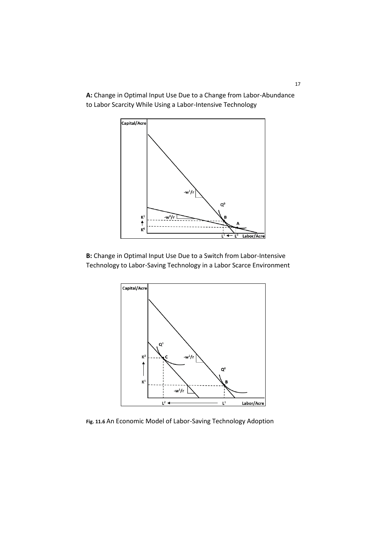**A:** Change in Optimal Input Use Due to a Change from Labor-Abundance to Labor Scarcity While Using a Labor-Intensive Technology



**B:** Change in Optimal Input Use Due to a Switch from Labor-Intensive Technology to Labor-Saving Technology in a Labor Scarce Environment



**Fig. 11.6** An Economic Model of Labor-Saving Technology Adoption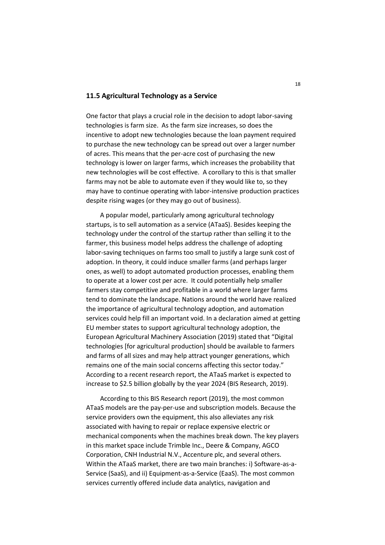#### **11.5 Agricultural Technology as a Service**

One factor that plays a crucial role in the decision to adopt labor-saving technologies is farm size. As the farm size increases, so does the incentive to adopt new technologies because the loan payment required to purchase the new technology can be spread out over a larger number of acres. This means that the per-acre cost of purchasing the new technology is lower on larger farms, which increases the probability that new technologies will be cost effective. A corollary to this is that smaller farms may not be able to automate even if they would like to, so they may have to continue operating with labor-intensive production practices despite rising wages (or they may go out of business).

A popular model, particularly among agricultural technology startups, is to sell automation as a service (ATaaS). Besides keeping the technology under the control of the startup rather than selling it to the farmer, this business model helps address the challenge of adopting labor-saving techniques on farms too small to justify a large sunk cost of adoption. In theory, it could induce smaller farms (and perhaps larger ones, as well) to adopt automated production processes, enabling them to operate at a lower cost per acre. It could potentially help smaller farmers stay competitive and profitable in a world where larger farms tend to dominate the landscape. Nations around the world have realized the importance of agricultural technology adoption, and automation services could help fill an important void. In a declaration aimed at getting EU member states to support agricultural technology adoption, the European Agricultural Machinery Association (2019) stated that "Digital technologies [for agricultural production] should be available to farmers and farms of all sizes and may help attract younger generations, which remains one of the main social concerns affecting this sector today." According to a recent research report, the ATaaS market is expected to increase to \$2.5 billion globally by the year 2024 (BIS Research, 2019).

According to this BIS Research report (2019), the most common ATaaS models are the pay-per-use and subscription models. Because the service providers own the equipment, this also alleviates any risk associated with having to repair or replace expensive electric or mechanical components when the machines break down. The key players in this market space include Trimble Inc., Deere & Company, AGCO Corporation, CNH Industrial N.V., Accenture plc, and several others. Within the ATaaS market, there are two main branches: i) Software-as-a-Service (SaaS), and ii) Equipment-as-a-Service (EaaS). The most common services currently offered include data analytics, navigation and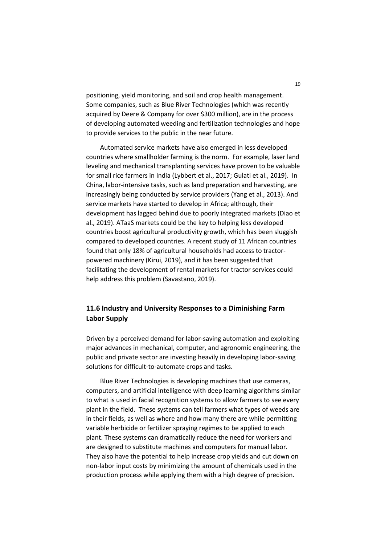positioning, yield monitoring, and soil and crop health management. Some companies, such as Blue River Technologies (which was recently acquired by Deere & Company for over \$300 million), are in the process of developing automated weeding and fertilization technologies and hope to provide services to the public in the near future.

Automated service markets have also emerged in less developed countries where smallholder farming is the norm. For example, laser land leveling and mechanical transplanting services have proven to be valuable for small rice farmers in India (Lybbert et al., 2017; Gulati et al., 2019). In China, labor-intensive tasks, such as land preparation and harvesting, are increasingly being conducted by service providers (Yang et al., 2013). And service markets have started to develop in Africa; although, their development has lagged behind due to poorly integrated markets (Diao et al., 2019). ATaaS markets could be the key to helping less developed countries boost agricultural productivity growth, which has been sluggish compared to developed countries. A recent study of 11 African countries found that only 18% of agricultural households had access to tractorpowered machinery (Kirui, 2019), and it has been suggested that facilitating the development of rental markets for tractor services could help address this problem (Savastano, 2019).

# **11.6 Industry and University Responses to a Diminishing Farm Labor Supply**

Driven by a perceived demand for labor-saving automation and exploiting major advances in mechanical, computer, and agronomic engineering, the public and private sector are investing heavily in developing labor-saving solutions for difficult-to-automate crops and tasks.

Blue River Technologies is developing machines that use cameras, computers, and artificial intelligence with deep learning algorithms similar to what is used in facial recognition systems to allow farmers to see every plant in the field. These systems can tell farmers what types of weeds are in their fields, as well as where and how many there are while permitting variable herbicide or fertilizer spraying regimes to be applied to each plant. These systems can dramatically reduce the need for workers and are designed to substitute machines and computers for manual labor. They also have the potential to help increase crop yields and cut down on non-labor input costs by minimizing the amount of chemicals used in the production process while applying them with a high degree of precision.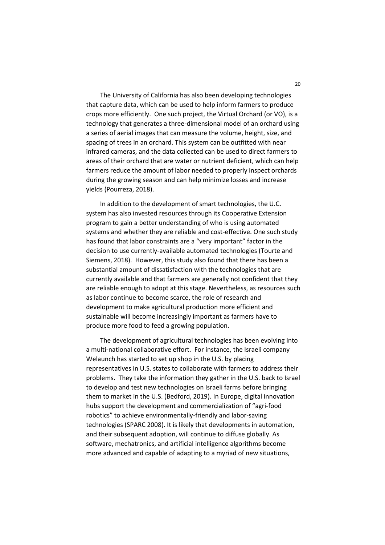The University of California has also been developing technologies that capture data, which can be used to help inform farmers to produce crops more efficiently. One such project, the Virtual Orchard (or VO), is a technology that generates a three-dimensional model of an orchard using a series of aerial images that can measure the volume, height, size, and spacing of trees in an orchard. This system can be outfitted with near infrared cameras, and the data collected can be used to direct farmers to areas of their orchard that are water or nutrient deficient, which can help farmers reduce the amount of labor needed to properly inspect orchards during the growing season and can help minimize losses and increase yields (Pourreza, 2018).

In addition to the development of smart technologies, the U.C. system has also invested resources through its Cooperative Extension program to gain a better understanding of who is using automated systems and whether they are reliable and cost-effective. One such study has found that labor constraints are a "very important" factor in the decision to use currently-available automated technologies (Tourte and Siemens, 2018). However, this study also found that there has been a substantial amount of dissatisfaction with the technologies that are currently available and that farmers are generally not confident that they are reliable enough to adopt at this stage. Nevertheless, as resources such as labor continue to become scarce, the role of research and development to make agricultural production more efficient and sustainable will become increasingly important as farmers have to produce more food to feed a growing population.

The development of agricultural technologies has been evolving into a multi-national collaborative effort. For instance, the Israeli company Welaunch has started to set up shop in the U.S. by placing representatives in U.S. states to collaborate with farmers to address their problems. They take the information they gather in the U.S. back to Israel to develop and test new technologies on Israeli farms before bringing them to market in the U.S. (Bedford, 2019). In Europe, digital innovation hubs support the development and commercialization of "agri-food robotics" to achieve environmentally-friendly and labor-saving technologies (SPARC 2008). It is likely that developments in automation, and their subsequent adoption, will continue to diffuse globally. As software, mechatronics, and artificial intelligence algorithms become more advanced and capable of adapting to a myriad of new situations,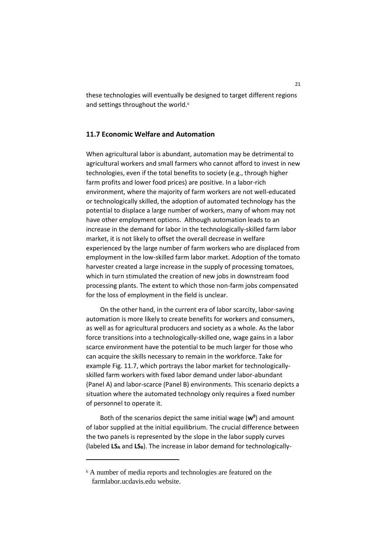these technologies will eventually be designed to target different regions and settings throughout the world.<sup>6</sup>

### **11.7 Economic Welfare and Automation**

When agricultural labor is abundant, automation may be detrimental to agricultural workers and small farmers who cannot afford to invest in new technologies, even if the total benefits to society (e.g., through higher farm profits and lower food prices) are positive. In a labor-rich environment, where the majority of farm workers are not well-educated or technologically skilled, the adoption of automated technology has the potential to displace a large number of workers, many of whom may not have other employment options. Although automation leads to an increase in the demand for labor in the technologically-skilled farm labor market, it is not likely to offset the overall decrease in welfare experienced by the large number of farm workers who are displaced from employment in the low-skilled farm labor market. Adoption of the tomato harvester created a large increase in the supply of processing tomatoes, which in turn stimulated the creation of new jobs in downstream food processing plants. The extent to which those non-farm jobs compensated for the loss of employment in the field is unclear.

On the other hand, in the current era of labor scarcity, labor-saving automation is more likely to create benefits for workers and consumers, as well as for agricultural producers and society as a whole. As the labor force transitions into a technologically-skilled one, wage gains in a labor scarce environment have the potential to be much larger for those who can acquire the skills necessary to remain in the workforce. Take for example Fig. 11.7, which portrays the labor market for technologicallyskilled farm workers with fixed labor demand under labor-abundant (Panel A) and labor-scarce (Panel B) environments. This scenario depicts a situation where the automated technology only requires a fixed number of personnel to operate it.

Both of the scenarios depict the same initial wage (**w<sup>0</sup>** ) and amount of labor supplied at the initial equilibrium. The crucial difference between the two panels is represented by the slope in the labor supply curves (labeled **LS<sup>A</sup>** and **LSB**). The increase in labor demand for technologically-

**.** 

<sup>6</sup> A number of media reports and technologies are featured on the farmlabor.ucdavis.edu website.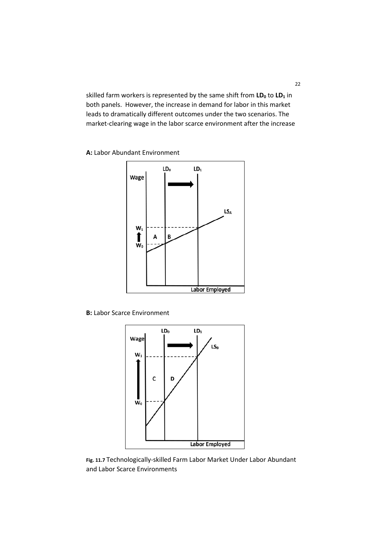skilled farm workers is represented by the same shift from **LD<sup>0</sup>** to **LD<sup>1</sup>** in both panels. However, the increase in demand for labor in this market leads to dramatically different outcomes under the two scenarios. The market-clearing wage in the labor scarce environment after the increase

**A:** Labor Abundant Environment



**B:** Labor Scarce Environment



**Fig. 11.7** Technologically-skilled Farm Labor Market Under Labor Abundant and Labor Scarce Environments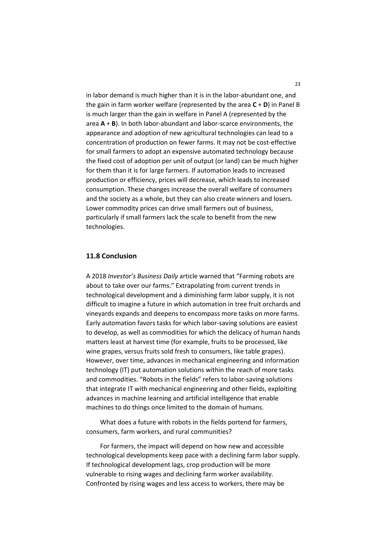in labor demand is much higher than it is in the labor-abundant one, and the gain in farm worker welfare (represented by the area **C** + **D**) in Panel B is much larger than the gain in welfare in Panel A (represented by the area **A** + **B**). In both labor-abundant and labor-scarce environments, the appearance and adoption of new agricultural technologies can lead to a concentration of production on fewer farms. It may not be cost-effective for small farmers to adopt an expensive automated technology because the fixed cost of adoption per unit of output (or land) can be much higher for them than it is for large farmers. If automation leads to increased production or efficiency, prices will decrease, which leads to increased consumption. These changes increase the overall welfare of consumers and the society as a whole, but they can also create winners and losers. Lower commodity prices can drive small farmers out of business, particularly if small farmers lack the scale to benefit from the new technologies.

#### **11.8 Conclusion**

A 2018 *Investor's Business Daily* article warned that "Farming robots are about to take over our farms." Extrapolating from current trends in technological development and a diminishing farm labor supply, it is not difficult to imagine a future in which automation in tree fruit orchards and vineyards expands and deepens to encompass more tasks on more farms. Early automation favors tasks for which labor-saving solutions are easiest to develop, as well as commodities for which the delicacy of human hands matters least at harvest time (for example, fruits to be processed, like wine grapes, versus fruits sold fresh to consumers, like table grapes). However, over time, advances in mechanical engineering and information technology (IT) put automation solutions within the reach of more tasks and commodities. "Robots in the fields" refers to labor-saving solutions that integrate IT with mechanical engineering and other fields, exploiting advances in machine learning and artificial intelligence that enable machines to do things once limited to the domain of humans.

What does a future with robots in the fields portend for farmers, consumers, farm workers, and rural communities?

For farmers, the impact will depend on how new and accessible technological developments keep pace with a declining farm labor supply. If technological development lags, crop production will be more vulnerable to rising wages and declining farm worker availability. Confronted by rising wages and less access to workers, there may be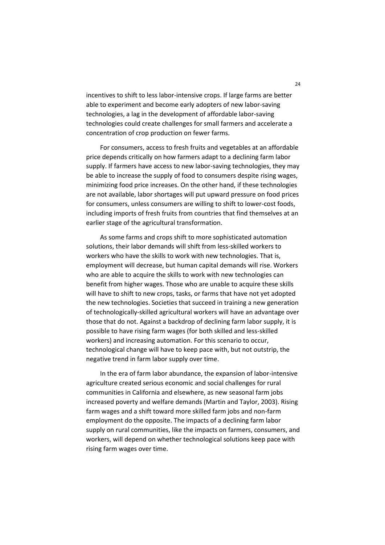incentives to shift to less labor-intensive crops. If large farms are better able to experiment and become early adopters of new labor-saving technologies, a lag in the development of affordable labor-saving technologies could create challenges for small farmers and accelerate a concentration of crop production on fewer farms.

For consumers, access to fresh fruits and vegetables at an affordable price depends critically on how farmers adapt to a declining farm labor supply. If farmers have access to new labor-saving technologies, they may be able to increase the supply of food to consumers despite rising wages, minimizing food price increases. On the other hand, if these technologies are not available, labor shortages will put upward pressure on food prices for consumers, unless consumers are willing to shift to lower-cost foods, including imports of fresh fruits from countries that find themselves at an earlier stage of the agricultural transformation.

As some farms and crops shift to more sophisticated automation solutions, their labor demands will shift from less-skilled workers to workers who have the skills to work with new technologies. That is, employment will decrease, but human capital demands will rise. Workers who are able to acquire the skills to work with new technologies can benefit from higher wages. Those who are unable to acquire these skills will have to shift to new crops, tasks, or farms that have not yet adopted the new technologies. Societies that succeed in training a new generation of technologically-skilled agricultural workers will have an advantage over those that do not. Against a backdrop of declining farm labor supply, it is possible to have rising farm wages (for both skilled and less-skilled workers) and increasing automation. For this scenario to occur, technological change will have to keep pace with, but not outstrip, the negative trend in farm labor supply over time.

In the era of farm labor abundance, the expansion of labor-intensive agriculture created serious economic and social challenges for rural communities in California and elsewhere, as new seasonal farm jobs increased poverty and welfare demands (Martin and Taylor, 2003). Rising farm wages and a shift toward more skilled farm jobs and non-farm employment do the opposite. The impacts of a declining farm labor supply on rural communities, like the impacts on farmers, consumers, and workers, will depend on whether technological solutions keep pace with rising farm wages over time.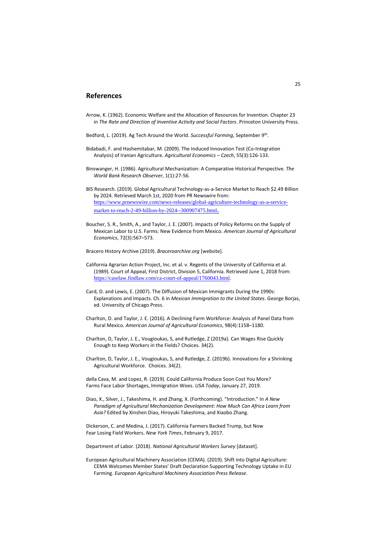#### **References**

- Arrow, K. (1962). Economic Welfare and the Allocation of Resources for Invention. Chapter 23 in *The Rate and Direction of Inventive Activity and Social Factors*. Princeton University Press.
- Bedford, L. (2019). Ag Tech Around the World. Successful Farming, September 9<sup>th</sup>.
- Bidabadi, F. and Hashemitabar, M. (2009). The Induced Innovation Test (Co-Integration Analysis) of Iranian Agriculture. *Agricultural Economics – Czech*, 55(3):126-133.
- Binswanger, H. (1986). Agricultural Mechanization: A Comparative Historical Perspective. *The World Bank Research Observer*, 1(1):27-56.
- BIS Research. (2019). Global Agricultural Technology-as-a-Service Market to Reach \$2.49 Billion by 2024. Retrieved March 1st, 2020 from PR Newswire from: [https://www.prnewswire.com/news-releases/global-agriculture-technology-as-a-service](https://www.prnewswire.com/news-releases/global-agriculture-technology-as-a-service-market-to-reach-2-49-billion-by-2024--300907475.html)[market-to-reach-2-49-billion-by-2024--300907475.html](https://www.prnewswire.com/news-releases/global-agriculture-technology-as-a-service-market-to-reach-2-49-billion-by-2024--300907475.html).
- Boucher, S. R., Smith, A., and Taylor, J. E. (2007). Impacts of Policy Reforms on the Supply of Mexican Labor to U.S. Farms: New Evidence from Mexico. *American Journal of Agricultural Economics*, 72(3):567–573.
- Bracero History Archive (2019). *Braceroarchive.org* [website].
- California Agrarian Action Project, Inc. et al. v. Regents of the University of California et al. (1989). Court of Appeal, First District, Division 5, California. Retrieved June 1, 2018 from: <https://caselaw.findlaw.com/ca-court-of-appeal/1760043.html>.
- Card, D. and Lewis, E. (2007). The Diffusion of Mexican Immigrants During the 1990s: Explanations and Impacts. Ch. 6 in *Mexican Immigration to the United States*. George Borjas, ed. University of Chicago Press.
- Charlton, D. and Taylor, J. E. (2016). A Declining Farm Workforce: Analysis of Panel Data from Rural Mexico*. American Journal of Agricultural Economics*, 98(4):1158–1180.
- Charlton, D, Taylor, J. E., Vougioukas, S, and Rutledge, Z (2019a). [Can Wages Rise Quickly](http://www.choicesmagazine.org/choices-magazine/submitted-articles/can-wages-rise-quickly-enough-to-keep-workers-in-the-fields)  [Enough to Keep Workers in the Fields?](http://www.choicesmagazine.org/choices-magazine/submitted-articles/can-wages-rise-quickly-enough-to-keep-workers-in-the-fields) Choices. 34(2).
- Charlton, D, Taylor, J. E., Vougioukas, S, and Rutledge, Z. (2019b). Innovations for a Shrinking Agricultural Workforce. Choices. 34(2).
- della Cava, M. and Lopez, R. (2019). Could California Produce Soon Cost You More? Farms Face Labor Shortages, Immigration Woes. *USA Today*, January 27, 2019.
- Diao, X., Silver, J., Takeshima, H. and Zhang, X. (Forthcoming). "Introduction." In *A New Paradigm of Agricultural Mechanization Development: How Much Can Africa Learn from Asia?* Edited by Xinshen Diao, Hiroyuki Takeshima, and Xiaobo Zhang.
- Dickerson, C. and Medina, J. (2017). California Farmers Backed Trump, but Now Fear Losing Field Workers. *New York Times*, February 9, 2017.
- Department of Labor. (2018). *National Agricultural Workers Survey* [dataset].
- European Agricultural Machinery Association (CEMA). (2019). Shift into Digital Agriculture: CEMA Welcomes Member States' Draft Declaration Supporting Technology Uptake in EU Farming. *European Agricultural Machinery Association Press Release*.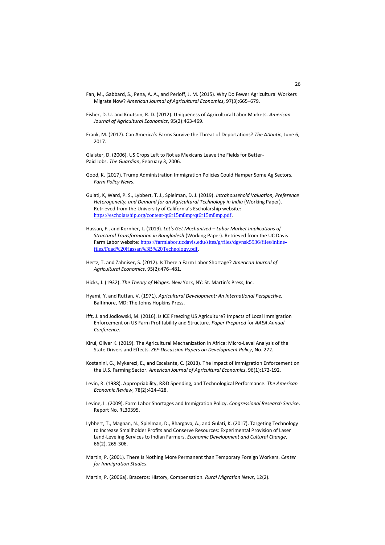- Fan, M., Gabbard, S., Pena, A. A., and Perloff, J. M. (2015). Why Do Fewer Agricultural Workers Migrate Now? *American Journal of Agricultural Economics*, 97(3):665–679.
- Fisher, D. U. and Knutson, R. D. (2012). Uniqueness of Agricultural Labor Markets. *American Journal of Agricultural Economics*, 95(2):463-469.
- Frank, M. (2017). Can America's Farms Survive the Threat of Deportations? *The Atlantic*, June 6, 2017.

Glaister, D. (2006). US Crops Left to Rot as Mexicans Leave the Fields for Better-Paid Jobs. *The Guardian*, February 3, 2006.

- Good, K. (2017). Trump Administration Immigration Policies Could Hamper Some Ag Sectors. *Farm Policy News*.
- Gulati, K, Ward, P. S., Lybbert, T. J., Spielman, D. J. (2019). *Intrahousehold Valuation, Preference Heterogeneity, and Demand for an Agricultural Technology in India* (Working Paper). Retrieved from the University of California's Escholarship website: <https://escholarship.org/content/qt6r15m8mp/qt6r15m8mp.pdf>.
- Hassan, F., and Kornher, L. (2019)*. Let's Get Mechanized – Labor Market Implications of Structural Transformation in Bangladesh* (Working Paper). Retrieved from the UC Davis Farm Labor website: [https://farmlabor.ucdavis.edu/sites/g/files/dgvnsk5936/files/inline](https://farmlabor.ucdavis.edu/sites/g/files/dgvnsk5936/files/inline-files/Fuad%20Hassan%3B%20Technology.pdf)[files/Fuad%20Hassan%3B%20Technology.pdf](https://farmlabor.ucdavis.edu/sites/g/files/dgvnsk5936/files/inline-files/Fuad%20Hassan%3B%20Technology.pdf).
- Hertz, T. and Zahniser, S. (2012). Is There a Farm Labor Shortage? *American Journal of Agricultural Economics*, 95(2):476–481.
- Hicks, J. (1932). *The Theory of Wages*. New York, NY: St. Martin's Press, Inc.
- Hyami, Y. and Ruttan, V. (1971). *Agricultural Development: An International Perspective.* Baltimore, MD: The Johns Hopkins Press.
- Ifft, J. and Jodlowski, M. (2016). Is ICE Freezing US Agriculture? Impacts of Local Immigration Enforcement on US Farm Profitability and Structure. *Paper Prepared* for *AAEA Annual Conference*.
- Kirui, Oliver K. (2019). The Agricultural Mechanization in Africa: Micro-Level Analysis of the State Drivers and Effects. *ZEF-Discussion Papers on Development Policy*, No. 272.
- Kostanini, G., Mykerezi, E., and Escalante, C. (2013). The Impact of Immigration Enforcement on the U.S. Farming Sector. *American Journal of Agricultural Economics*, 96(1):172-192.
- Levin, R. (1988). Appropriability, R&D Spending, and Technological Performance. *The American Economic Review*, 78(2):424-428.
- Levine, L. (2009). Farm Labor Shortages and Immigration Policy. *Congressional Research Service*. Report No. RL30395.
- Lybbert, T., Magnan, N., Spielman, D., Bhargava, A., and Gulati, K. (2017). Targeting Technology to Increase Smallholder Profits and Conserve Resources: Experimental Provision of Laser Land-Leveling Services to Indian Farmers. *Economic Development and Cultural Change*, 66(2), 265-306.
- Martin, P. (2001). There Is Nothing More Permanent than Temporary Foreign Workers. *Center for Immigration Studies*.
- Martin, P. (2006a). Braceros: History, Compensation. *Rural Migration News*, 12(2).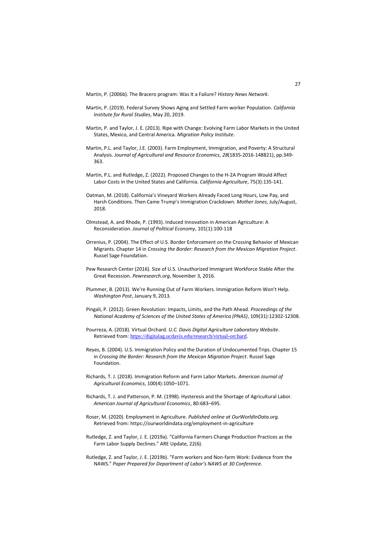Martin, P. (2006b). The Bracero program: Was It a Failure? *History News Network*.

- Martin, P. (2019). Federal Survey Shows Aging and Settled Farm worker Population. *California Institute for Rural Studies*, May 20, 2019.
- Martin, P. and Taylor, J. E. (2013). Ripe with Change: Evolving Farm Labor Markets in the United States, Mexico, and Central America. *Migration Policy Institute*.
- Martin, P.L. and Taylor, J.E. (2003). Farm Employment, Immigration, and Poverty: A Structural Analysis. *Journal of Agricultural and Resource Economics*, *28*(1835-2016-148821), pp.349- 363.
- Martin, P.L. and Rutledge, Z. (2022). Proposed Changes to the H-2A Program Would Affect Labor Costs in the United States and California. *California Agriculture*, 75(3):135-141.
- Oatman, M. (2018). California's Vineyard Workers Already Faced Long Hours, Low Pay, and Harsh Conditions. Then Came Trump's Immigration Crackdown. *Mother Jones*, July/August, 2018.
- Olmstead, A. and Rhode, P. (1993). Induced Innovation in American Agriculture: A Reconsideration. *Journal of Political Economy*, 101(1):100-118
- Orrenius, P. (2004). The Effect of U.S. Border Enforcement on the Crossing Behavior of Mexican Migrants. Chapter 14 in *Crossing the Border: Research from the Mexican Migration Project*. Russel Sage Foundation.
- Pew Research Center (2016). Size of U.S. Unauthorized Immigrant Workforce Stable After the Great Recession. *Pewresearch.org*, November 3, 2016.
- Plummer, B. (2013). We're Running Out of Farm Workers. Immigration Reform Won't Help. *Washington Post*, January 9, 2013.
- Pingali, P. (2012). Green Revolution: Impacts, Limits, and the Path Ahead. *Proceedings of the National Academy of Sciences of the United States of America (PNAS)*, 109(31):12302-12308.
- Pourreza, A. (2018). Virtual Orchard. *U.C. Davis Digital Agriculture Laboratory Website*. Retrieved from: <https://digitalag.ucdavis.edu/research/virtual-orchard>.
- Reyes, B. (2004). U.S. Immigration Policy and the Duration of Undocumented Trips. Chapter 15 in *Crossing the Border: Research from the Mexican Migration Project*. Russel Sage Foundation.
- Richards, T. J. (2018). Immigration Reform and Farm Labor Markets. *American Journal of Agricultural Economics*, 100(4):1050–1071.
- Richards, T. J. and Patterson, P. M. (1998). Hysteresis and the Shortage of Agricultural Labor. *American Journal of Agricultural Economics*, 80:683–695.
- Roser, M. (2020). Employment in Agriculture. *Published online at OurWorldInData.org.* Retrieved from[: https://ourworldindata.org/employment-in-agriculture](https://ourworldindata.org/employment-in-agriculture)
- Rutledge, Z. and Taylor, J. E. (2019a). ["California Farmers Change Production Practices as the](https://s.giannini.ucop.edu/uploads/giannini_public/b6/f5/b6f5e1cb-807f-4150-b365-76366d30607f/v22n6_2.pdf)  [Farm Labor Supply Declines."](https://s.giannini.ucop.edu/uploads/giannini_public/b6/f5/b6f5e1cb-807f-4150-b365-76366d30607f/v22n6_2.pdf) ARE Update, 22(6).
- Rutledge, Z. and Taylor, J. E. (2019b). ["Farm workers and Non-farm Work: Evidence from the](https://www.zachrutledge.com/uploads/1/2/5/6/125679559/rutledge-taylor_naws_paper.pdf)  [NAWS."](https://www.zachrutledge.com/uploads/1/2/5/6/125679559/rutledge-taylor_naws_paper.pdf) *Paper Prepared for Department of Labor's NAWS at 30 Conference.*